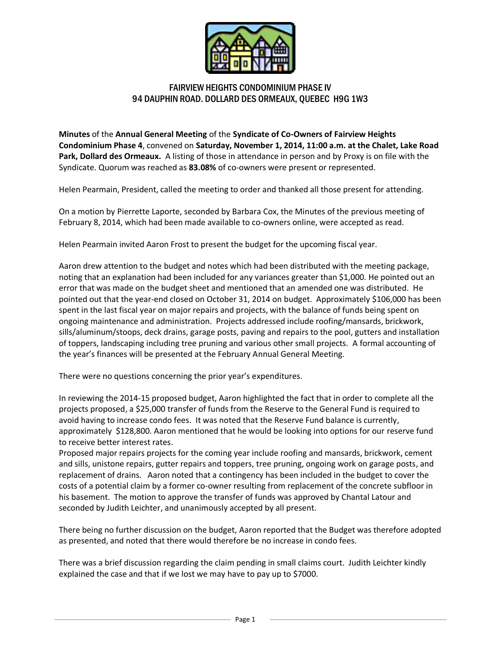

## FAIRVIEW HEIGHTS CONDOMINIUM PHASE IV 94 DAUPHIN ROAD. DOLLARD DES ORMEAUX, QUEBEC H9G 1W3

**Minutes** of the **Annual General Meeting** of the **Syndicate of Co-Owners of Fairview Heights Condominium Phase 4**, convened on **Saturday, November 1, 2014, 11:00 a.m. at the Chalet, Lake Road Park, Dollard des Ormeaux.** A listing of those in attendance in person and by Proxy is on file with the Syndicate. Quorum was reached as **83.08%** of co-owners were present or represented.

Helen Pearmain, President, called the meeting to order and thanked all those present for attending.

On a motion by Pierrette Laporte, seconded by Barbara Cox, the Minutes of the previous meeting of February 8, 2014, which had been made available to co-owners online, were accepted as read.

Helen Pearmain invited Aaron Frost to present the budget for the upcoming fiscal year.

Aaron drew attention to the budget and notes which had been distributed with the meeting package, noting that an explanation had been included for any variances greater than \$1,000. He pointed out an error that was made on the budget sheet and mentioned that an amended one was distributed. He pointed out that the year-end closed on October 31, 2014 on budget. Approximately \$106,000 has been spent in the last fiscal year on major repairs and projects, with the balance of funds being spent on ongoing maintenance and administration. Projects addressed include roofing/mansards, brickwork, sills/aluminum/stoops, deck drains, garage posts, paving and repairs to the pool, gutters and installation of toppers, landscaping including tree pruning and various other small projects. A formal accounting of the year's finances will be presented at the February Annual General Meeting.

There were no questions concerning the prior year's expenditures.

In reviewing the 2014-15 proposed budget, Aaron highlighted the fact that in order to complete all the projects proposed, a \$25,000 transfer of funds from the Reserve to the General Fund is required to avoid having to increase condo fees. It was noted that the Reserve Fund balance is currently, approximately \$128,800. Aaron mentioned that he would be looking into options for our reserve fund to receive better interest rates.

Proposed major repairs projects for the coming year include roofing and mansards, brickwork, cement and sills, unistone repairs, gutter repairs and toppers, tree pruning, ongoing work on garage posts, and replacement of drains. Aaron noted that a contingency has been included in the budget to cover the costs of a potential claim by a former co-owner resulting from replacement of the concrete subfloor in his basement. The motion to approve the transfer of funds was approved by Chantal Latour and seconded by Judith Leichter, and unanimously accepted by all present.

There being no further discussion on the budget, Aaron reported that the Budget was therefore adopted as presented, and noted that there would therefore be no increase in condo fees.

There was a brief discussion regarding the claim pending in small claims court. Judith Leichter kindly explained the case and that if we lost we may have to pay up to \$7000.